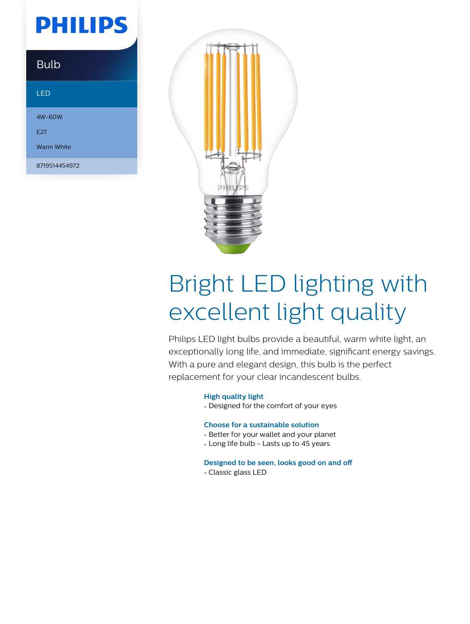# **PHILIPS**

| <b>Bulb</b> |  |
|-------------|--|
|             |  |

### LED

4W-60W E27

Warm White

8719514454972



# Bright LED lighting with excellent light quality

Philips LED light bulbs provide a beautiful, warm white light, an exceptionally long life, and immediate, significant energy savings. With a pure and elegant design, this bulb is the perfect replacement for your clear incandescent bulbs.

## **High quality light**

• Designed for the comfort of your eyes

## **Choose for a sustainable solution**

- Better for your wallet and your planet
- Long life bulb Lasts up to 45 years

#### **Designed to be seen, looks good on and off**

• Classic glass LED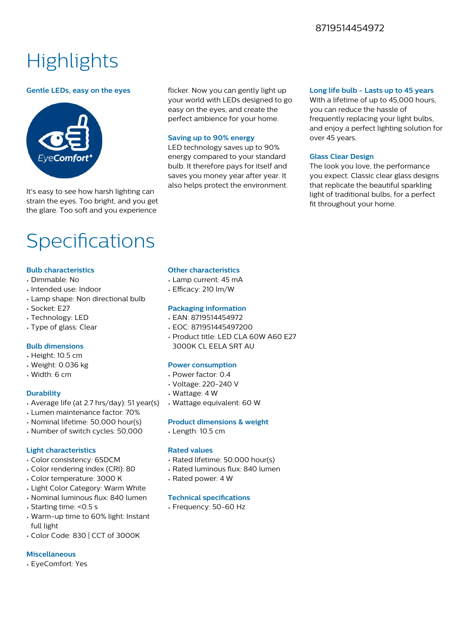## 8719514454972

# **Highlights**

#### **Gentle LEDs, easy on the eyes**



It's easy to see how harsh lighting can strain the eyes. Too bright, and you get the glare. Too soft and you experience

flicker. Now you can gently light up your world with LEDs designed to go easy on the eyes, and create the perfect ambience for your home.

#### **Saving up to 90% energy**

LED technology saves up to 90% energy compared to your standard bulb. It therefore pays for itself and saves you money year after year. It also helps protect the environment.

#### **Long life bulb - Lasts up to 45 years**

With a lifetime of up to 45,000 hours, you can reduce the hassle of frequently replacing your light bulbs, and enjoy a perfect lighting solution for over 45 years.

#### **Glass Clear Design**

The look you love, the performance you expect. Classic clear glass designs that replicate the beautiful sparkling light of traditional bulbs, for a perfect fit throughout your home.

# Specifications

#### **Bulb characteristics**

- Dimmable: No
- Intended use: Indoor
- Lamp shape: Non directional bulb
- Socket: E27
- Technology: LED
- Type of glass: Clear

#### **Bulb dimensions**

- Height: 10.5 cm
- Weight: 0.036 kg
- Width: 6 cm

#### **Durability**

- Average life (at 2.7 hrs/day): 51 year(s)
- Lumen maintenance factor: 70%
- Nominal lifetime: 50,000 hour(s)
- Number of switch cycles: 50,000

#### **Light characteristics**

- Color consistency: 6SDCM
- Color rendering index (CRI): 80
- Color temperature: 3000 K
- Light Color Category: Warm White
- Nominal luminous flux: 840 lumen
- Starting time: <0.5 s
- Warm-up time to 60% light: Instant full light
- Color Code: 830 | CCT of 3000K

#### **Miscellaneous**

• EyeComfort: Yes

#### **Other characteristics**

- Lamp current: 45 mA
- Efficacy: 210 lm/W

#### **Packaging information**

- EAN: 8719514454972
- EOC: 871951445497200
- Product title: LED CLA 60W A60 E27 3000K CL EELA SRT AU

#### **Power consumption**

- Power factor: 0.4
- Voltage: 220-240 V
- Wattage: 4 W
- Wattage equivalent: 60 W

#### **Product dimensions & weight**

• Length: 10.5 cm

#### **Rated values**

- Rated lifetime: 50,000 hour(s)
- Rated luminous flux: 840 lumen
- Rated power: 4 W

#### **Technical specifications**

• Frequency: 50-60 Hz